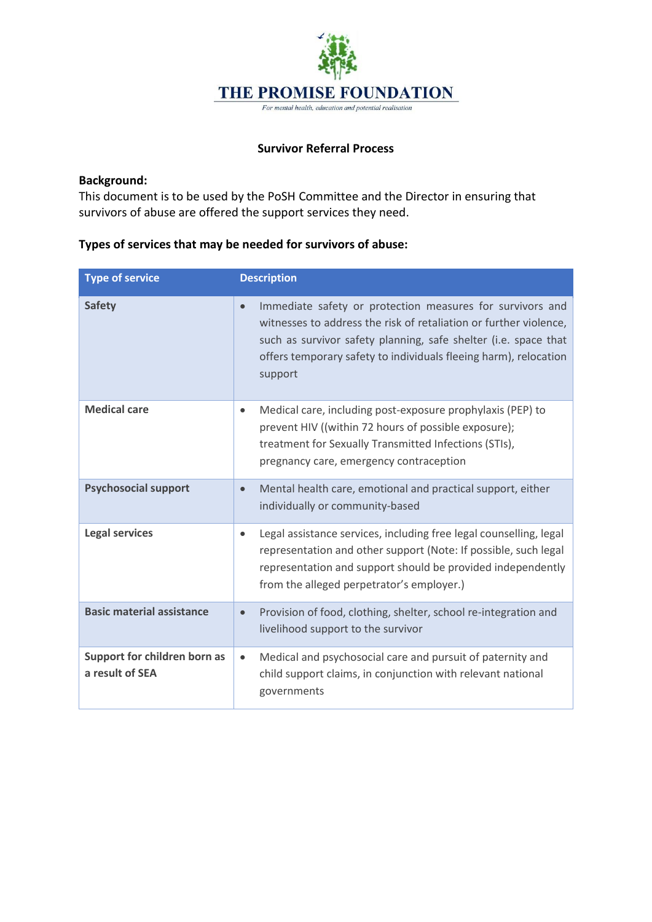

#### **Survivor Referral Process**

## **Background:**

This document is to be used by the PoSH Committee and the Director in ensuring that survivors of abuse are offered the support services they need.

#### **Types of services that may be needed for survivors of abuse:**

| <b>Type of service</b>                          | <b>Description</b>                                                                                                                                                                                                                                                                            |
|-------------------------------------------------|-----------------------------------------------------------------------------------------------------------------------------------------------------------------------------------------------------------------------------------------------------------------------------------------------|
| <b>Safety</b>                                   | Immediate safety or protection measures for survivors and<br>$\bullet$<br>witnesses to address the risk of retaliation or further violence,<br>such as survivor safety planning, safe shelter (i.e. space that<br>offers temporary safety to individuals fleeing harm), relocation<br>support |
| <b>Medical care</b>                             | Medical care, including post-exposure prophylaxis (PEP) to<br>$\bullet$<br>prevent HIV ((within 72 hours of possible exposure);<br>treatment for Sexually Transmitted Infections (STIs),<br>pregnancy care, emergency contraception                                                           |
| <b>Psychosocial support</b>                     | Mental health care, emotional and practical support, either<br>$\bullet$<br>individually or community-based                                                                                                                                                                                   |
| <b>Legal services</b>                           | Legal assistance services, including free legal counselling, legal<br>$\bullet$<br>representation and other support (Note: If possible, such legal<br>representation and support should be provided independently<br>from the alleged perpetrator's employer.)                                |
| <b>Basic material assistance</b>                | Provision of food, clothing, shelter, school re-integration and<br>$\bullet$<br>livelihood support to the survivor                                                                                                                                                                            |
| Support for children born as<br>a result of SEA | Medical and psychosocial care and pursuit of paternity and<br>$\bullet$<br>child support claims, in conjunction with relevant national<br>governments                                                                                                                                         |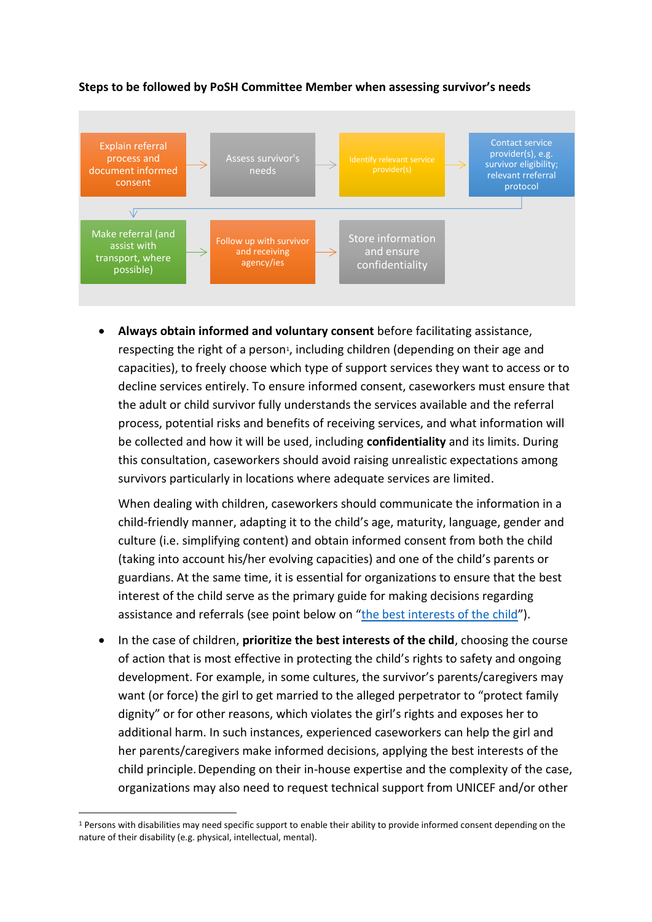

## **Steps to be followed by PoSH Committee Member when assessing survivor's needs**

<span id="page-1-0"></span> **Always obtain informed and voluntary consent** before facilitating assistance, respecting the right of a person<sup>1</sup>, including children (depending on their age and capacities), to freely choose which type of support services they want to access or to decline services entirely. To ensure informed consent, caseworkers must ensure that the adult or child survivor fully understands the services available and the referral process, potential risks and benefits of receiving services, and what information will be collected and how it will be used, including **confidentiality** and its limits. During this consultation, caseworkers should avoid raising unrealistic expectations among survivors particularly in locations where adequate services are limited.

When dealing with children, caseworkers should communicate the information in a child-friendly manner, adapting it to the child's age, maturity, language, gender and culture (i.e. simplifying content) and obtain informed consent from both the child (taking into account his/her evolving capacities) and one of the child's parents or guardians. At the same time, it is essential for organizations to ensure that the best interest of the child serve as the primary guide for making decisions regarding assistance and referrals (see point below on "the best interests of the child").

 In the case of children, **prioritize the best interests of the child**, choosing the course of action that is most effective in protecting the child's rights to safety and ongoing development. For example, in some cultures, the survivor's parents/caregivers may want (or force) the girl to get married to the alleged perpetrator to "protect family dignity" or for other reasons, which violates the girl's rights and exposes her to additional harm. In such instances, experienced caseworkers can help the girl and her parents/caregivers make informed decisions, applying the best interests of the child principle.Depending on their in-house expertise and the complexity of the case, organizations may also need to request technical support from UNICEF and/or other

1

<sup>1</sup> Persons with disabilities may need specific support to enable their ability to provide informed consent depending on the nature of their disability (e.g. physical, intellectual, mental).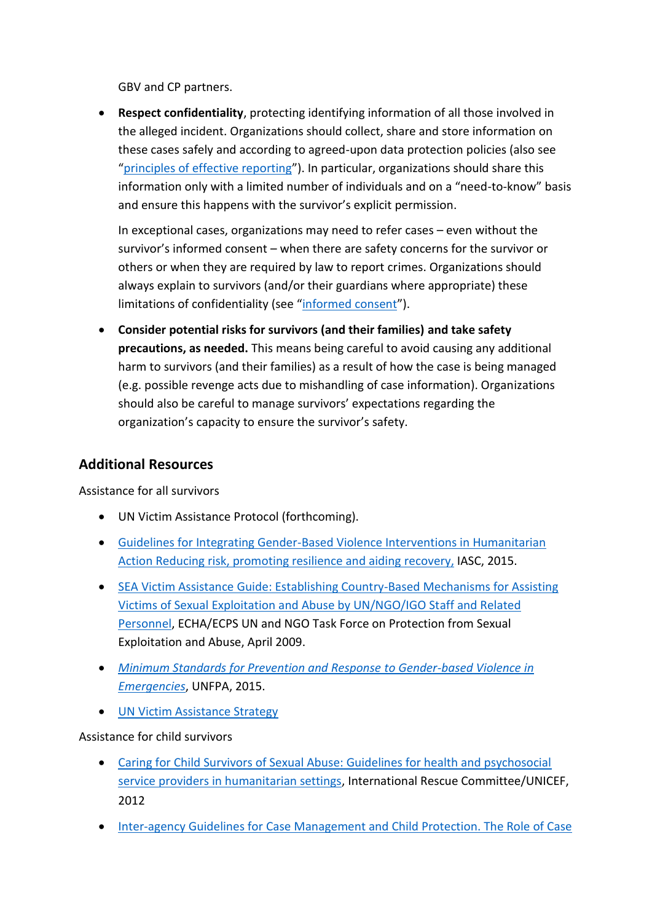GBV and CP partners.

 **Respect confidentiality**, protecting identifying information of all those involved in the alleged incident. Organizations should collect, share and store information on these cases safely and according to agreed-upon data protection policies (also see "principles of effective reporting"). In particular, organizations should share this information only with a limited number of individuals and on a "need-to-know" basis and ensure this happens with the survivor's explicit permission.

In exceptional cases, organizations may need to refer cases – even without the survivor's informed consent – when there are safety concerns for the survivor or others or when they are required by law to report crimes. Organizations should always explain to survivors (and/or their guardians where appropriate) these limitations of confidentiality (see "[informed consent](#page-1-0)").

 **Consider potential risks for survivors (and their families) and take safety precautions, as needed.** This means being careful to avoid causing any additional harm to survivors (and their families) as a result of how the case is being managed (e.g. possible revenge acts due to mishandling of case information). Organizations should also be careful to manage survivors' expectations regarding the organization's capacity to ensure the survivor's safety.

# **Additional Resources**

Assistance for all survivors

- UN Victim Assistance Protocol (forthcoming).
- [Guidelines for Integrating Gender-Based Violence Interventions in Humanitarian](https://gbvguidelines.org/wp/wp-content/uploads/2015/09/2015-IASC-Gender-based-Violence-Guidelines_lo-res.pdf)  [Action Reducing risk, promoting resilience and aiding](https://gbvguidelines.org/wp/wp-content/uploads/2015/09/2015-IASC-Gender-based-Violence-Guidelines_lo-res.pdf) recovery, IASC, 2015.
- [SEA Victim Assistance Guide: Establishing Country-Based Mechanisms for Assisting](https://www.chsalliance.org/files/files/SEA%20Victim%20Assistance%20Guide.pdf)  [Victims of Sexual Exploitation and Abuse by UN/NGO/IGO Staff and Related](https://www.chsalliance.org/files/files/SEA%20Victim%20Assistance%20Guide.pdf)  [Personnel,](https://www.chsalliance.org/files/files/SEA%20Victim%20Assistance%20Guide.pdf) ECHA/ECPS UN and NGO Task Force on Protection from Sexual Exploitation and Abuse, April 2009.
- *[Minimum Standards for Prevention and Response to Gender-based Violence in](https://www.unfpa.org/featured-publication/gbvie-standards)  [Emergencies](https://www.unfpa.org/featured-publication/gbvie-standards)*, UNFPA, 2015.
- [UN Victim Assistance Strategy](https://undocs.org/A/RES/62/214)

Assistance for child survivors

- [Caring for Child Survivors of Sexual Abuse: Guidelines for health and psychosocial](https://www.unicef.org/pacificislands/IRC_CCSGuide_FullGuide_lowres.pdf)  [service providers in humanitarian settings,](https://www.unicef.org/pacificislands/IRC_CCSGuide_FullGuide_lowres.pdf) International Rescue Committee/UNICEF, 2012
- [Inter-agency Guidelines for Case Management and Child Protection. The Role of Case](http://www.cpcnetwork.org/wp-content/uploads/2014/08/CM_guidelines_ENG_.pdf)